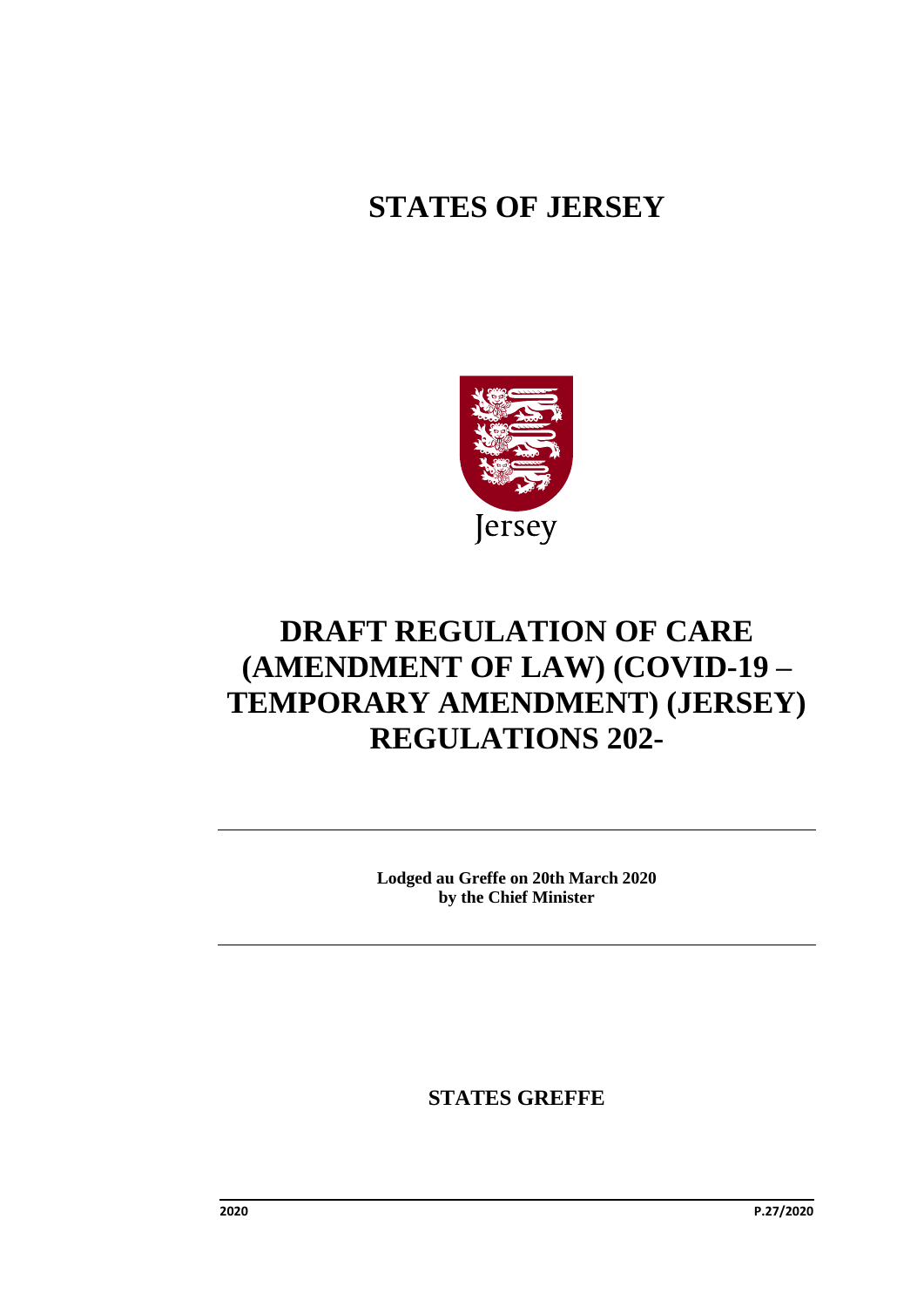## **STATES OF JERSEY**



# **DRAFT REGULATION OF CARE (AMENDMENT OF LAW) (COVID-19 – TEMPORARY AMENDMENT) (JERSEY) REGULATIONS 202-**

**Lodged au Greffe on 20th March 2020 by the Chief Minister**

**STATES GREFFE**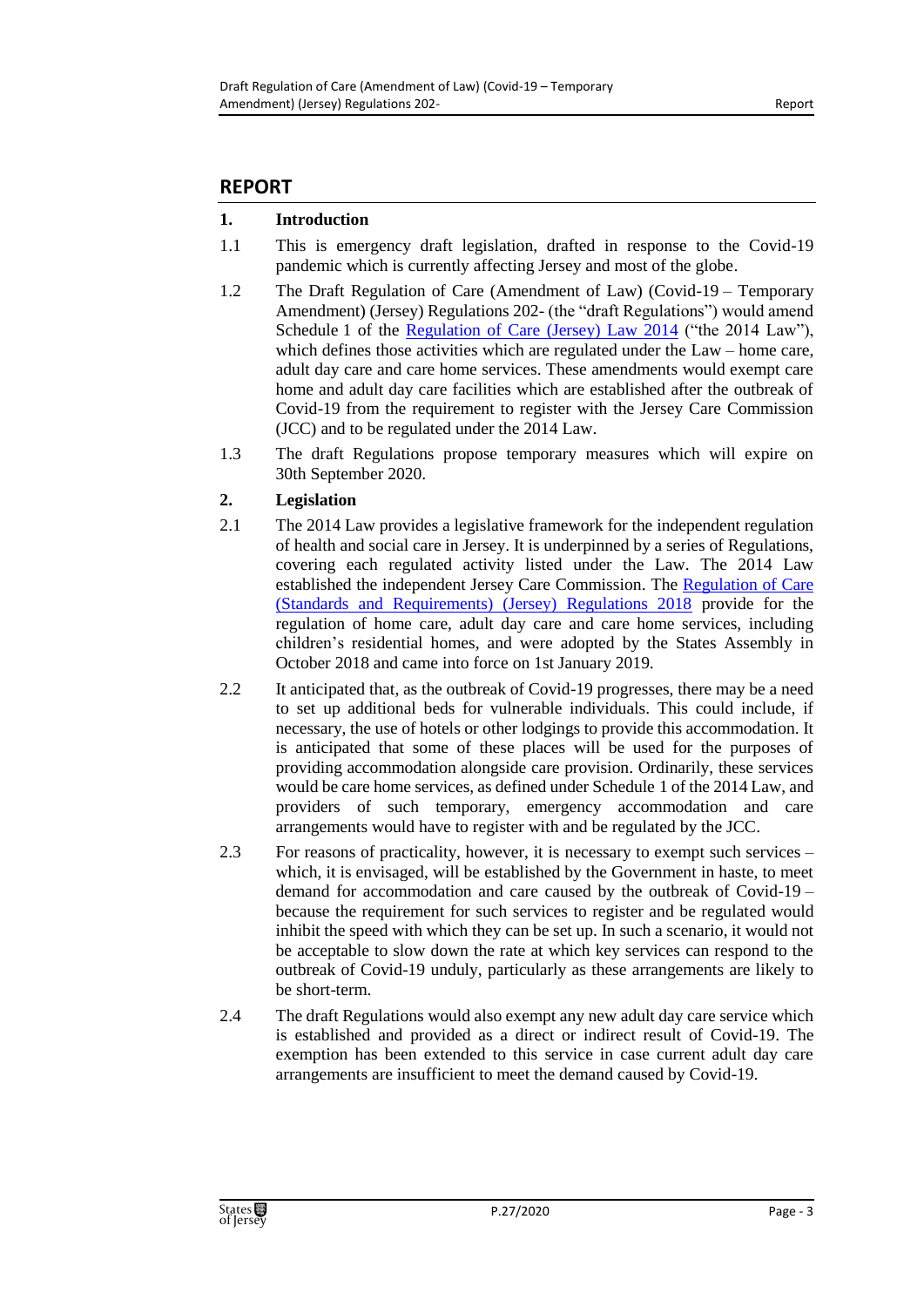### **REPORT**

### **1. Introduction**

- 1.1 This is emergency draft legislation, drafted in response to the Covid-19 pandemic which is currently affecting Jersey and most of the globe.
- 1.2 The Draft Regulation of Care (Amendment of Law) (Covid-19 Temporary Amendment) (Jersey) Regulations 202- (the "draft Regulations") would amend Schedule 1 of the [Regulation of Care \(Jersey\) Law 2014](https://www.jerseylaw.je/laws/revised/Pages/20.820.aspx) ("the 2014 Law"), which defines those activities which are regulated under the Law – home care, adult day care and care home services. These amendments would exempt care home and adult day care facilities which are established after the outbreak of Covid-19 from the requirement to register with the Jersey Care Commission (JCC) and to be regulated under the 2014 Law.
- 1.3 The draft Regulations propose temporary measures which will expire on 30th September 2020.

### **2. Legislation**

- 2.1 The 2014 Law provides a legislative framework for the independent regulation of health and social care in Jersey. It is underpinned by a series of Regulations, covering each regulated activity listed under the Law. The 2014 Law established the independent Jersey Care Commission. The [Regulation of Care](https://www.jerseylaw.je/laws/revised/Pages/20.820.65.aspx)  [\(Standards and Requirements\) \(Jersey\) Regulations 2018](https://www.jerseylaw.je/laws/revised/Pages/20.820.65.aspx) provide for the regulation of home care, adult day care and care home services, including children's residential homes, and were adopted by the States Assembly in October 2018 and came into force on 1st January 2019.
- 2.2 It anticipated that, as the outbreak of Covid-19 progresses, there may be a need to set up additional beds for vulnerable individuals. This could include, if necessary, the use of hotels or other lodgings to provide this accommodation. It is anticipated that some of these places will be used for the purposes of providing accommodation alongside care provision. Ordinarily, these services would be care home services, as defined under Schedule 1 of the 2014 Law, and providers of such temporary, emergency accommodation and care arrangements would have to register with and be regulated by the JCC.
- 2.3 For reasons of practicality, however, it is necessary to exempt such services which, it is envisaged, will be established by the Government in haste, to meet demand for accommodation and care caused by the outbreak of Covid-19 – because the requirement for such services to register and be regulated would inhibit the speed with which they can be set up. In such a scenario, it would not be acceptable to slow down the rate at which key services can respond to the outbreak of Covid-19 unduly, particularly as these arrangements are likely to be short-term.
- 2.4 The draft Regulations would also exempt any new adult day care service which is established and provided as a direct or indirect result of Covid-19. The exemption has been extended to this service in case current adult day care arrangements are insufficient to meet the demand caused by Covid-19.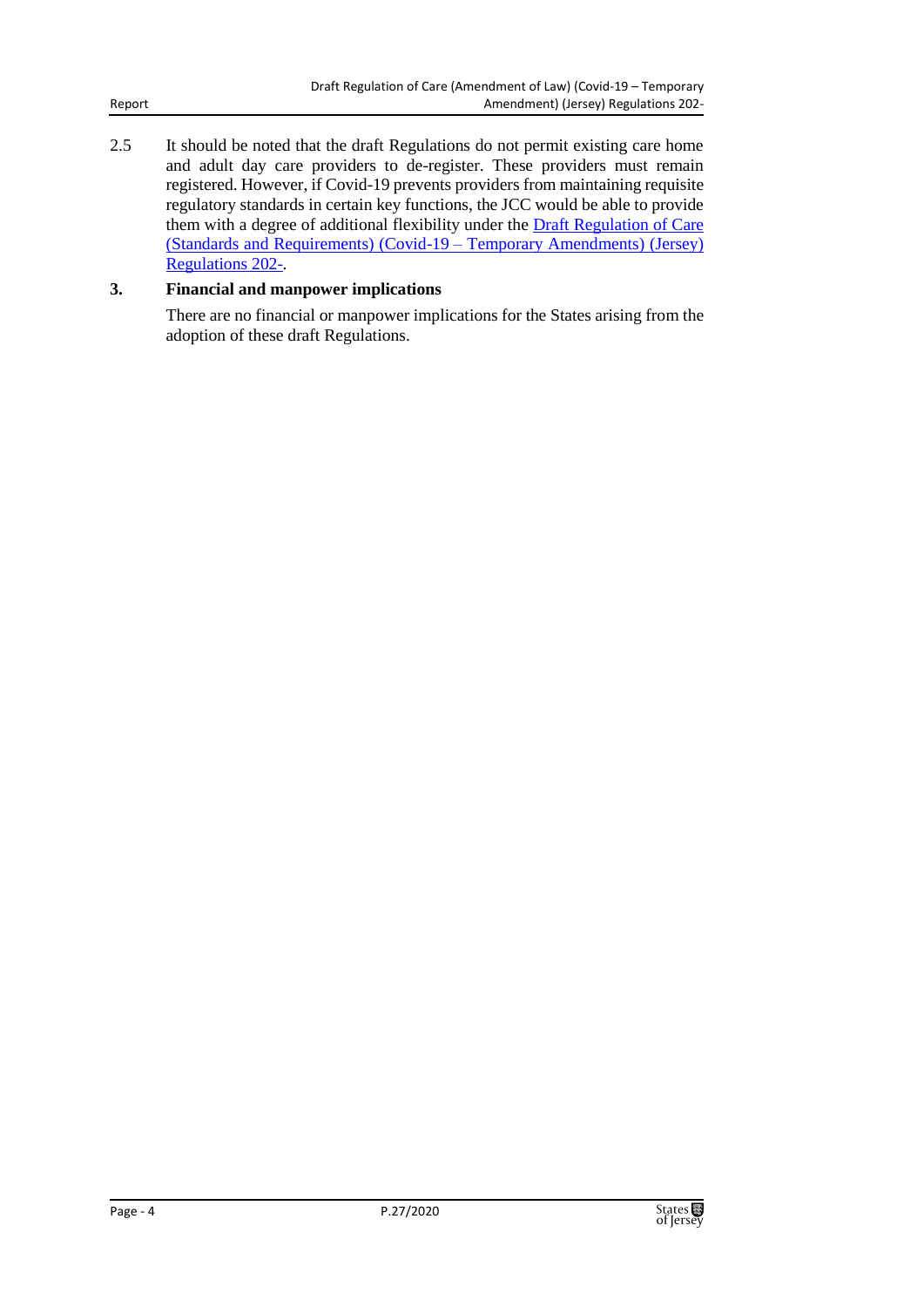2.5 It should be noted that the draft Regulations do not permit existing care home and adult day care providers to de-register. These providers must remain registered. However, if Covid-19 prevents providers from maintaining requisite regulatory standards in certain key functions, the JCC would be able to provide them with a degree of additional flexibility under the **Draft Regulation of Care** [\(Standards and Requirements\) \(Covid-19](https://statesassembly.gov.je/Pages/Propositions.aspx?ref=P.26/2020&refurl=%2fPages%2fPropositions.aspx) – Temporary Amendments) (Jersey) [Regulations 202-.](https://statesassembly.gov.je/Pages/Propositions.aspx?ref=P.26/2020&refurl=%2fPages%2fPropositions.aspx)

### **3. Financial and manpower implications**

There are no financial or manpower implications for the States arising from the adoption of these draft Regulations.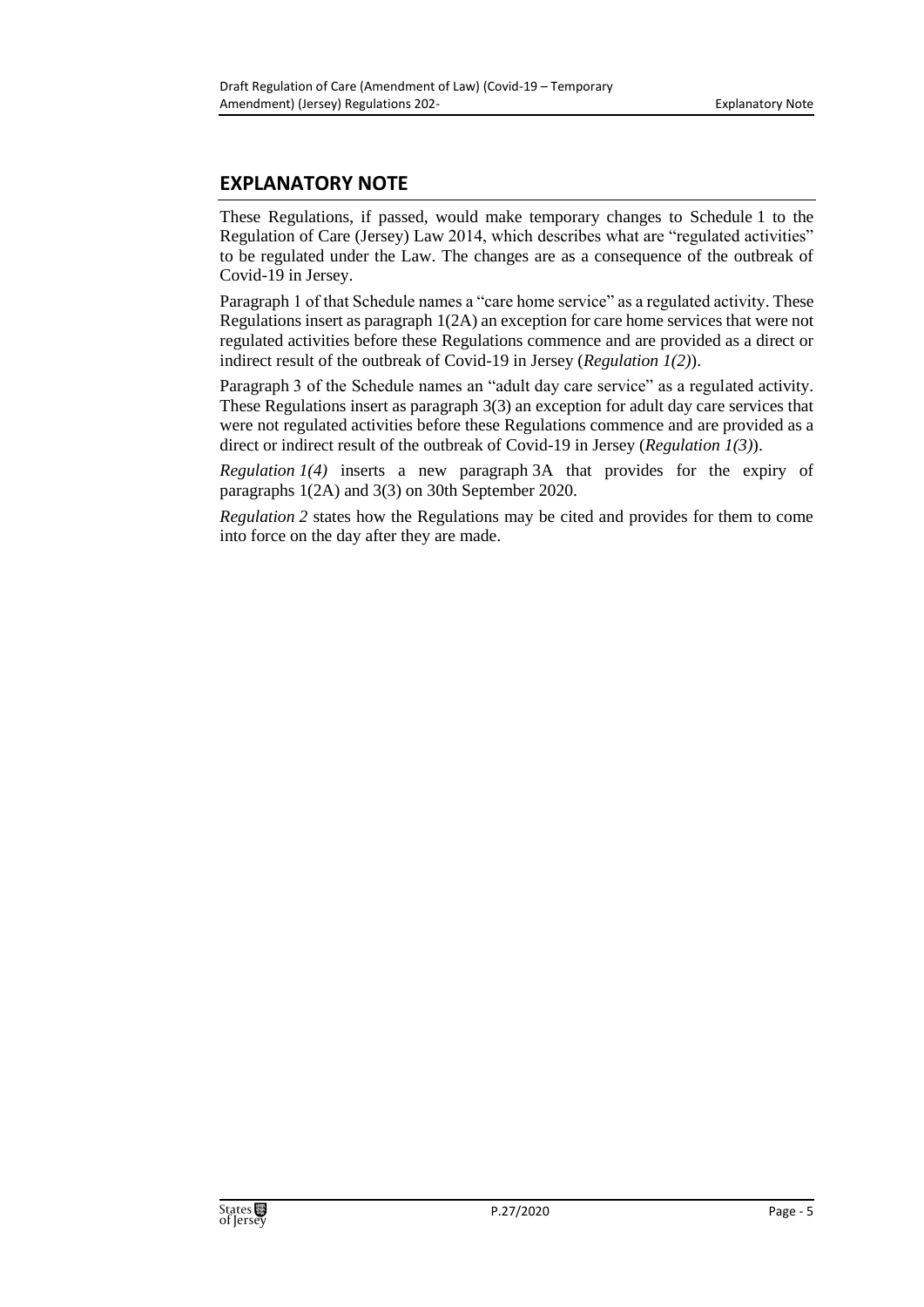### **EXPLANATORY NOTE**

These Regulations, if passed, would make temporary changes to Schedule 1 to the Regulation of Care (Jersey) Law 2014, which describes what are "regulated activities" to be regulated under the Law. The changes are as a consequence of the outbreak of Covid-19 in Jersey.

Paragraph 1 of that Schedule names a "care home service" as a regulated activity. These Regulations insert as paragraph 1(2A) an exception for care home services that were not regulated activities before these Regulations commence and are provided as a direct or indirect result of the outbreak of Covid-19 in Jersey (*Regulation 1(2)*).

Paragraph 3 of the Schedule names an "adult day care service" as a regulated activity. These Regulations insert as paragraph 3(3) an exception for adult day care services that were not regulated activities before these Regulations commence and are provided as a direct or indirect result of the outbreak of Covid-19 in Jersey (*Regulation 1(3)*).

*Regulation 1(4)* inserts a new paragraph 3A that provides for the expiry of paragraphs 1(2A) and 3(3) on 30th September 2020.

*Regulation 2* states how the Regulations may be cited and provides for them to come into force on the day after they are made.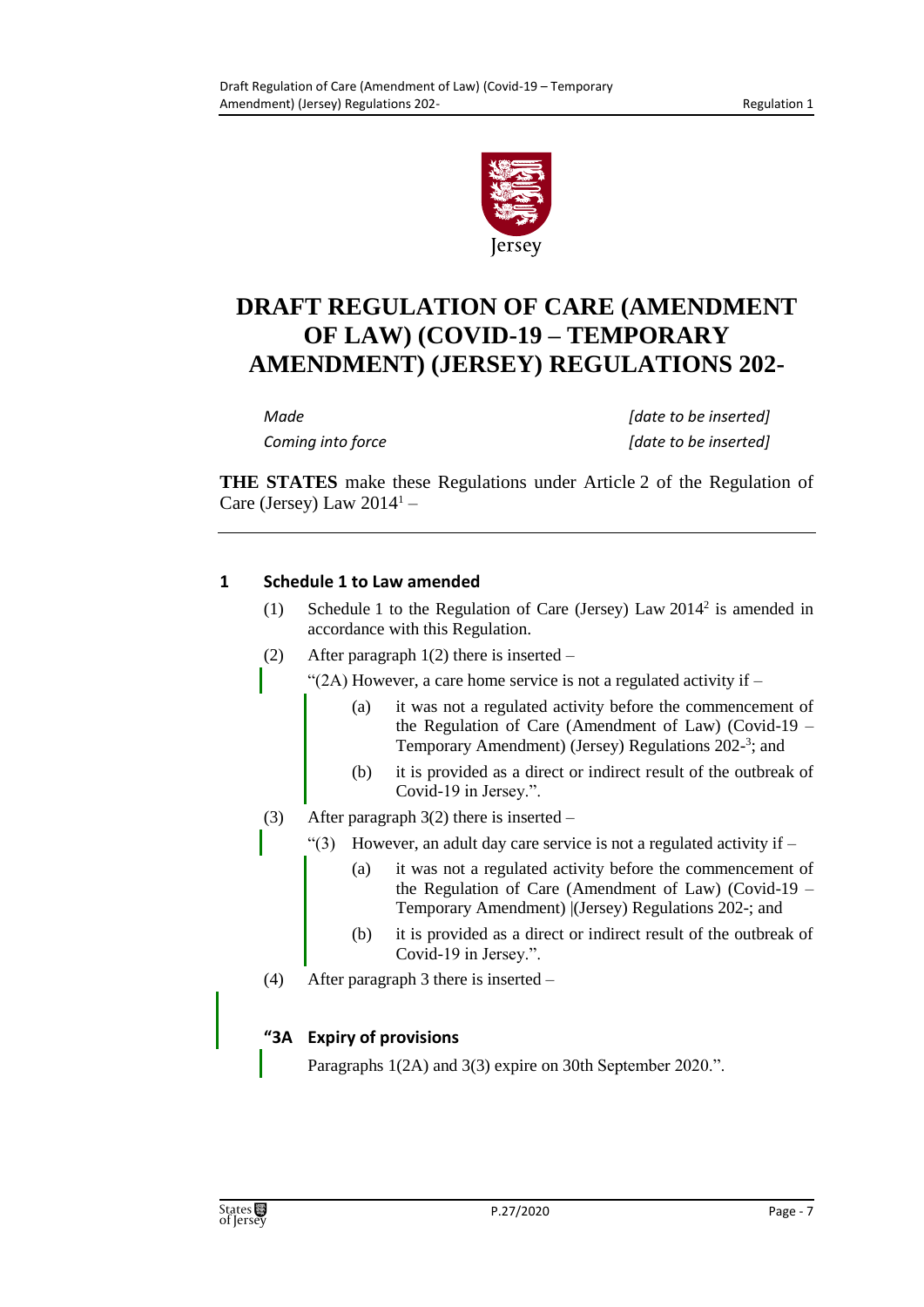

## **DRAFT REGULATION OF CARE (AMENDMENT OF LAW) (COVID-19 – TEMPORARY AMENDMENT) (JERSEY) REGULATIONS 202-**

| Made              | [date to be inserted] |
|-------------------|-----------------------|
| Coming into force | [date to be inserted] |

**THE STATES** make these Regulations under Article 2 of the Regulation of Care (Jersey) Law  $2014<sup>1</sup>$  –

### **1 Schedule 1 to Law amended**

- (1) Schedule 1 to the Regulation of Care (Jersey) Law 2014<sup>2</sup> is amended in accordance with this Regulation.
- (2) After paragraph 1(2) there is inserted –

"(2A) However, a care home service is not a regulated activity if  $-$ 

- (a) it was not a regulated activity before the commencement of the Regulation of Care (Amendment of Law) (Covid-19 – Temporary Amendment) (Jersey) Regulations 202-<sup>3</sup>; and
- (b) it is provided as a direct or indirect result of the outbreak of Covid-19 in Jersey.".
- (3) After paragraph 3(2) there is inserted
	- "(3) However, an adult day care service is not a regulated activity if  $-$ 
		- (a) it was not a regulated activity before the commencement of the Regulation of Care (Amendment of Law) (Covid-19 – Temporary Amendment) |(Jersey) Regulations 202-; and
		- (b) it is provided as a direct or indirect result of the outbreak of Covid-19 in Jersey.".
- (4) After paragraph 3 there is inserted –

### **"3A Expiry of provisions**

Paragraphs  $1(2A)$  and  $3(3)$  expire on 30th September 2020.".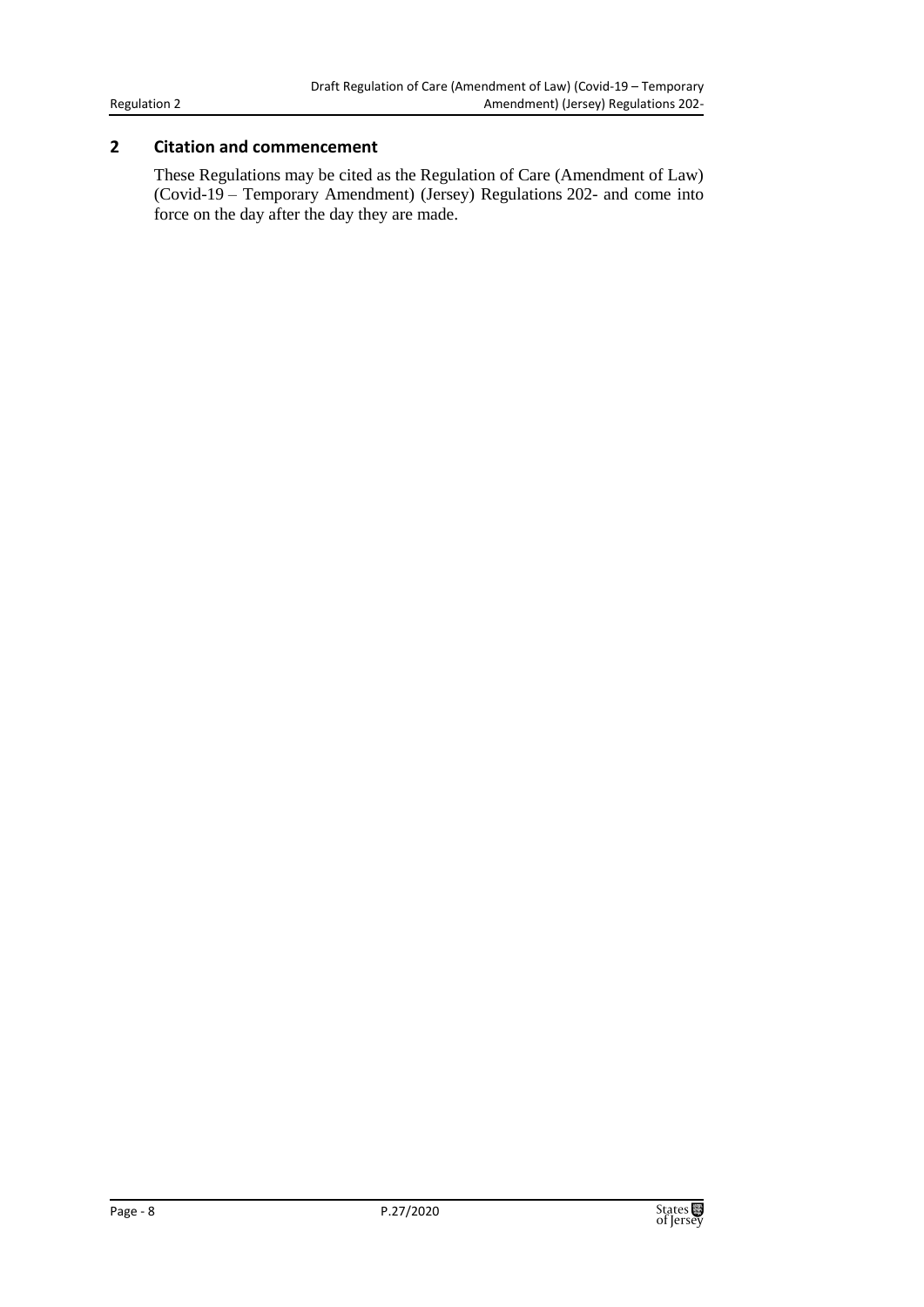#### Regulation 2

### **2 Citation and commencement**

These Regulations may be cited as the Regulation of Care (Amendment of Law) (Covid-19 – Temporary Amendment) (Jersey) Regulations 202- and come into force on the day after the day they are made.